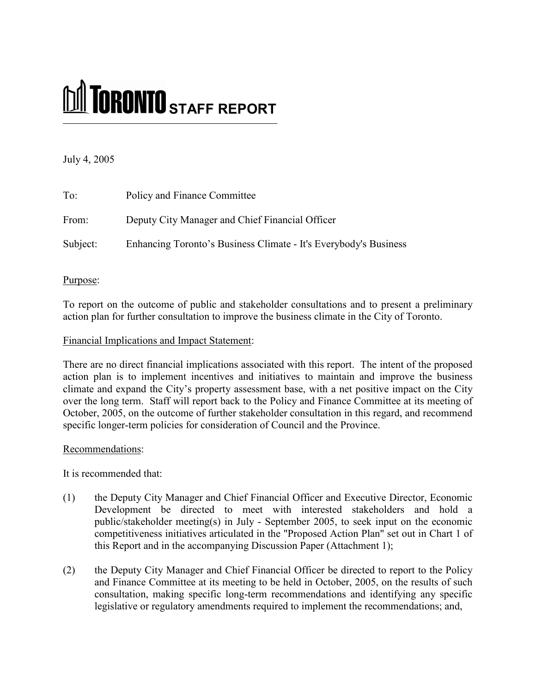# MI TORONTO STAFF REPORT

# July 4, 2005

| To:      | Policy and Finance Committee                                     |
|----------|------------------------------------------------------------------|
| From:    | Deputy City Manager and Chief Financial Officer                  |
| Subject: | Enhancing Toronto's Business Climate - It's Everybody's Business |

# Purpose:

To report on the outcome of public and stakeholder consultations and to present a preliminary action plan for further consultation to improve the business climate in the City of Toronto.

## Financial Implications and Impact Statement:

There are no direct financial implications associated with this report. The intent of the proposed action plan is to implement incentives and initiatives to maintain and improve the business climate and expand the City's property assessment base, with a net positive impact on the City over the long term. Staff will report back to the Policy and Finance Committee at its meeting of October, 2005, on the outcome of further stakeholder consultation in this regard, and recommend specific longer-term policies for consideration of Council and the Province.

## Recommendations:

It is recommended that:

- $(1)$ the Deputy City Manager and Chief Financial Officer and Executive Director, Economic Development be directed to meet with interested stakeholders and hold a public/stakeholder meeting(s) in July - September 2005, to seek input on the economic competitiveness initiatives articulated in the "Proposed Action Plan" set out in Chart 1 of this Report and in the accompanying Discussion Paper (Attachment 1);
- $(2)$ the Deputy City Manager and Chief Financial Officer be directed to report to the Policy and Finance Committee at its meeting to be held in October, 2005, on the results of such consultation, making specific long-term recommendations and identifying any specific legislative or regulatory amendments required to implement the recommendations; and,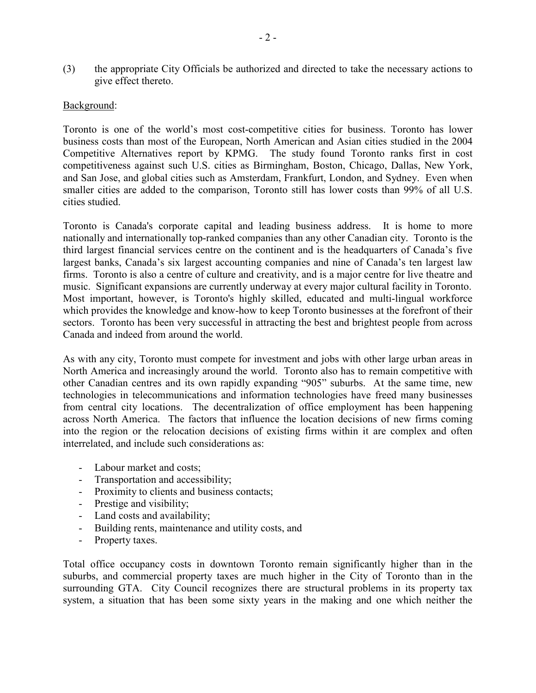$(3)$ the appropriate City Officials be authorized and directed to take the necessary actions to give effect thereto.

## Background:

Toronto is one of the world's most cost-competitive cities for business. Toronto has lower business costs than most of the European, North American and Asian cities studied in the 2004 Competitive Alternatives report by KPMG. The study found Toronto ranks first in cost competitiveness against such U.S. cities as Birmingham, Boston, Chicago, Dallas, New York, and San Jose, and global cities such as Amsterdam, Frankfurt, London, and Sydney. Even when smaller cities are added to the comparison, Toronto still has lower costs than 99% of all U.S. cities studied.

Toronto is Canada's corporate capital and leading business address. It is home to more nationally and internationally top-ranked companies than any other Canadian city. Toronto is the third largest financial services centre on the continent and is the headquarters of Canada's five largest banks, Canada's six largest accounting companies and nine of Canada's ten largest law firms. Toronto is also a centre of culture and creativity, and is a major centre for live theatre and music. Significant expansions are currently underway at every major cultural facility in Toronto. Most important, however, is Toronto's highly skilled, educated and multi-lingual workforce which provides the knowledge and know-how to keep Toronto businesses at the forefront of their sectors. Toronto has been very successful in attracting the best and brightest people from across Canada and indeed from around the world.

As with any city, Toronto must compete for investment and jobs with other large urban areas in North America and increasingly around the world. Toronto also has to remain competitive with other Canadian centres and its own rapidly expanding "905" suburbs. At the same time, new technologies in telecommunications and information technologies have freed many businesses from central city locations. The decentralization of office employment has been happening across North America. The factors that influence the location decisions of new firms coming into the region or the relocation decisions of existing firms within it are complex and often interrelated, and include such considerations as:

- Labour market and costs:  $\frac{1}{2}$
- Transportation and accessibility;
- Proximity to clients and business contacts;
- Prestige and visibility;
- Land costs and availability;
- Building rents, maintenance and utility costs, and  $\frac{1}{2}$
- Property taxes.  $\overline{a}$

Total office occupancy costs in downtown Toronto remain significantly higher than in the suburbs, and commercial property taxes are much higher in the City of Toronto than in the surrounding GTA. City Council recognizes there are structural problems in its property tax system, a situation that has been some sixty years in the making and one which neither the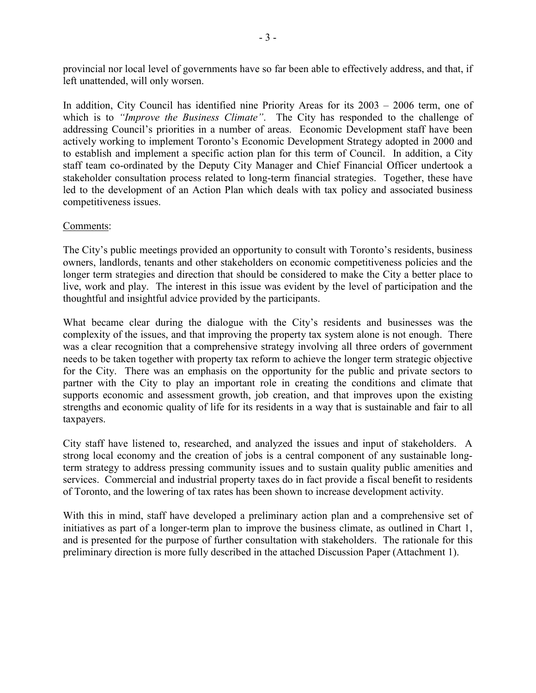provincial nor local level of governments have so far been able to effectively address, and that, if left unattended, will only worsen.

In addition, City Council has identified nine Priority Areas for its  $2003 - 2006$  term, one of which is to "Improve the Business Climate". The City has responded to the challenge of addressing Council's priorities in a number of areas. Economic Development staff have been actively working to implement Toronto's Economic Development Strategy adopted in 2000 and to establish and implement a specific action plan for this term of Council. In addition, a City staff team co-ordinated by the Deputy City Manager and Chief Financial Officer undertook a stakeholder consultation process related to long-term financial strategies. Together, these have led to the development of an Action Plan which deals with tax policy and associated business competitiveness issues.

# Comments:

The City's public meetings provided an opportunity to consult with Toronto's residents, business owners, landlords, tenants and other stakeholders on economic competitiveness policies and the longer term strategies and direction that should be considered to make the City a better place to live, work and play. The interest in this issue was evident by the level of participation and the thoughtful and insightful advice provided by the participants.

What became clear during the dialogue with the City's residents and businesses was the complexity of the issues, and that improving the property tax system alone is not enough. There was a clear recognition that a comprehensive strategy involving all three orders of government needs to be taken together with property tax reform to achieve the longer term strategic objective for the City. There was an emphasis on the opportunity for the public and private sectors to partner with the City to play an important role in creating the conditions and climate that supports economic and assessment growth, job creation, and that improves upon the existing strengths and economic quality of life for its residents in a way that is sustainable and fair to all taxpayers.

City staff have listened to, researched, and analyzed the issues and input of stakeholders. A strong local economy and the creation of jobs is a central component of any sustainable longterm strategy to address pressing community issues and to sustain quality public amenities and services. Commercial and industrial property taxes do in fact provide a fiscal benefit to residents of Toronto, and the lowering of tax rates has been shown to increase development activity.

With this in mind, staff have developed a preliminary action plan and a comprehensive set of initiatives as part of a longer-term plan to improve the business climate, as outlined in Chart 1, and is presented for the purpose of further consultation with stakeholders. The rationale for this preliminary direction is more fully described in the attached Discussion Paper (Attachment 1).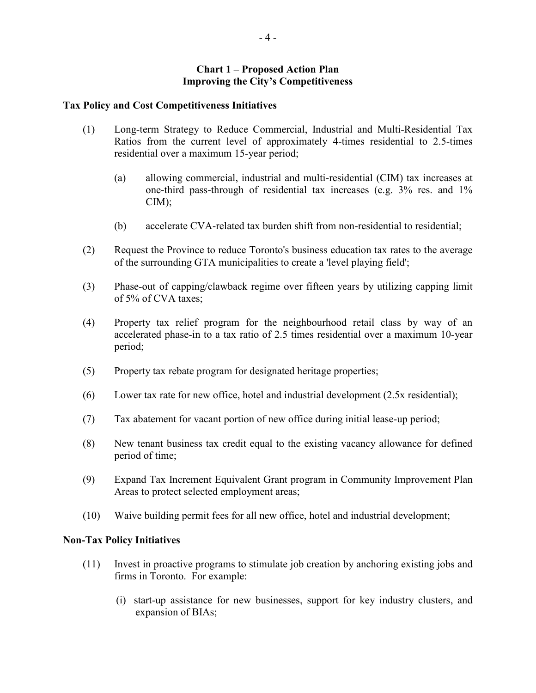#### **Chart 1 – Proposed Action Plan Improving the City's Competitiveness**

#### **Tax Policy and Cost Competitiveness Initiatives**

- $(1)$ Long-term Strategy to Reduce Commercial, Industrial and Multi-Residential Tax Ratios from the current level of approximately 4-times residential to 2.5-times residential over a maximum 15-year period;
	- $(a)$ allowing commercial, industrial and multi-residential (CIM) tax increases at one-third pass-through of residential tax increases (e.g.  $3\%$  res. and  $1\%$  $CIM$ );
	- accelerate CVA-related tax burden shift from non-residential to residential; (b)
- $(2)$ Request the Province to reduce Toronto's business education tax rates to the average of the surrounding GTA municipalities to create a 'level playing field';
- Phase-out of capping/clawback regime over fifteen years by utilizing capping limit  $(3)$ of 5% of CVA taxes;
- Property tax relief program for the neighbourhood retail class by way of an  $(4)$ accelerated phase-in to a tax ratio of 2.5 times residential over a maximum 10-year period;
- $(5)$ Property tax rebate program for designated heritage properties.
- $(6)$ Lower tax rate for new office, hotel and industrial development (2.5x residential);
- Tax abatement for vacant portion of new office during initial lease-up period;  $(7)$
- $(8)$ New tenant business tax credit equal to the existing vacancy allowance for defined period of time;
- $(9)$ Expand Tax Increment Equivalent Grant program in Community Improvement Plan Areas to protect selected employment areas;
- $(10)$ Waive building permit fees for all new office, hotel and industrial development;

## **Non-Tax Policy Initiatives**

- $(11)$ Invest in proactive programs to stimulate job creation by anchoring existing jobs and firms in Toronto. For example:
	- (i) start-up assistance for new businesses, support for key industry clusters, and expansion of BIAs;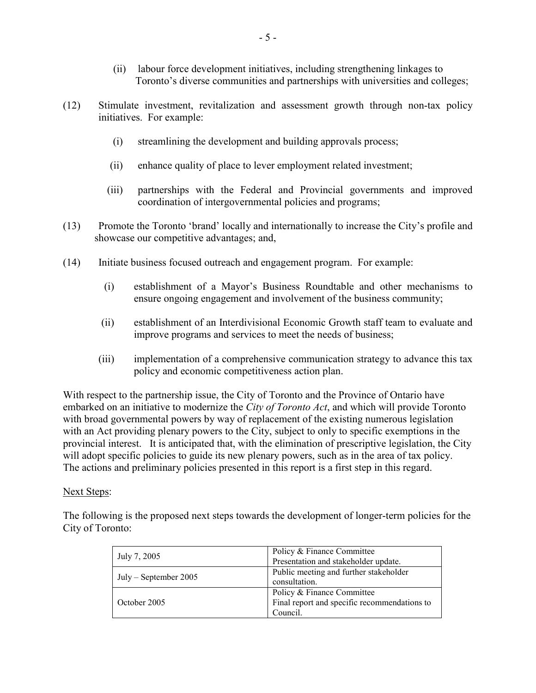- (ii) labour force development initiatives, including strengthening linkages to Toronto's diverse communities and partnerships with universities and colleges;
- $(12)$ Stimulate investment, revitalization and assessment growth through non-tax policy initiatives. For example:
	- streamlining the development and building approvals process;  $(i)$
	- $(ii)$ enhance quality of place to lever employment related investment;
	- $(iii)$ partnerships with the Federal and Provincial governments and improved coordination of intergovernmental policies and programs;
- Promote the Toronto 'brand' locally and internationally to increase the City's profile and  $(13)$ showcase our competitive advantages; and,
- $(14)$ Initiate business focused outreach and engagement program. For example:
	- $(i)$ establishment of a Mayor's Business Roundtable and other mechanisms to ensure ongoing engagement and involvement of the business community;
	- establishment of an Interdivisional Economic Growth staff team to evaluate and  $(ii)$ improve programs and services to meet the needs of business;
	- $(iii)$ implementation of a comprehensive communication strategy to advance this tax policy and economic competitiveness action plan.

With respect to the partnership issue, the City of Toronto and the Province of Ontario have embarked on an initiative to modernize the City of Toronto Act, and which will provide Toronto with broad governmental powers by way of replacement of the existing numerous legislation with an Act providing plenary powers to the City, subject to only to specific exemptions in the provincial interest. It is anticipated that, with the elimination of prescriptive legislation, the City will adopt specific policies to guide its new plenary powers, such as in the area of tax policy. The actions and preliminary policies presented in this report is a first step in this regard.

# Next Steps:

The following is the proposed next steps towards the development of longer-term policies for the City of Toronto:

| July 7, 2005            | Policy & Finance Committee<br>Presentation and stakeholder update.                     |
|-------------------------|----------------------------------------------------------------------------------------|
| $July - September 2005$ | Public meeting and further stakeholder<br>consultation.                                |
| October 2005            | Policy & Finance Committee<br>Final report and specific recommendations to<br>Council. |